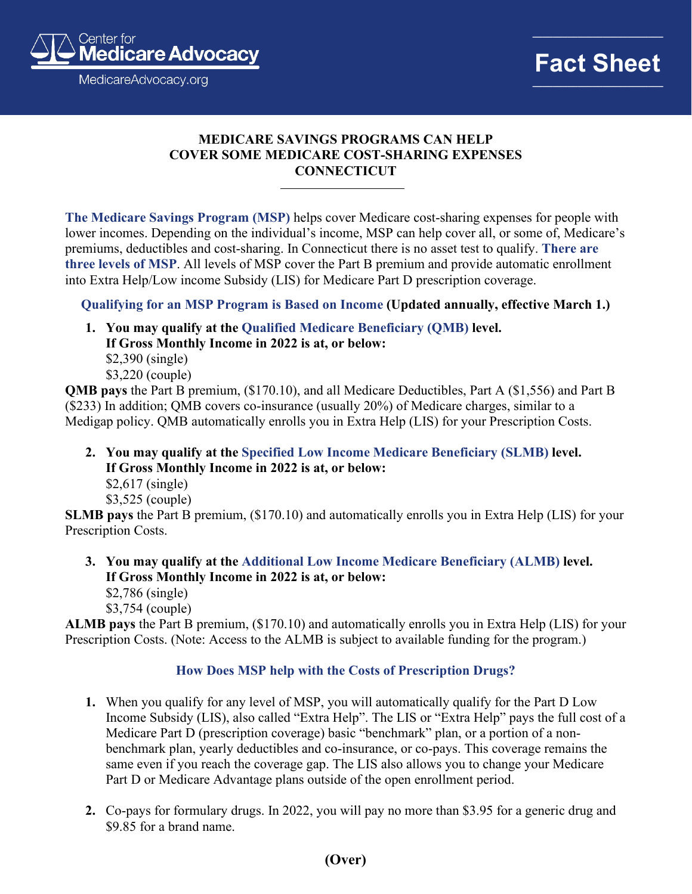

**\_\_\_\_\_\_\_\_\_\_\_\_\_\_\_\_\_\_\_\_\_\_\_\_\_\_**

## **MEDICARE SAVINGS PROGRAMS CAN HELP COVER SOME MEDICARE COST-SHARING EXPENSES CONNECTICUT**

**The Medicare Savings Program (MSP)** helps cover Medicare cost-sharing expenses for people with lower incomes. Depending on the individual's income, MSP can help cover all, or some of, Medicare's premiums, deductibles and cost-sharing. In Connecticut there is no asset test to qualify. **There are three levels of MSP**. All levels of MSP cover the Part B premium and provide automatic enrollment into Extra Help/Low income Subsidy (LIS) for Medicare Part D prescription coverage.

**Qualifying for an MSP Program is Based on Income (Updated annually, effective March 1.)**

**1. You may qualify at the Qualified Medicare Beneficiary (QMB) level. If Gross Monthly Income in 2022 is at, or below:** \$2,390 (single) \$3,220 (couple)

**QMB pays** the Part B premium, (\$170.10), and all Medicare Deductibles, Part A (\$1,556) and Part B (\$233) In addition; QMB covers co-insurance (usually 20%) of Medicare charges, similar to a Medigap policy. QMB automatically enrolls you in Extra Help (LIS) for your Prescription Costs.

- **2. You may qualify at the Specified Low Income Medicare Beneficiary (SLMB) level. If Gross Monthly Income in 2022 is at, or below:**
	- \$2,617 (single)

\$3,525 (couple)

**SLMB pays** the Part B premium, (\$170.10) and automatically enrolls you in Extra Help (LIS) for your Prescription Costs.

- **3. You may qualify at the Additional Low Income Medicare Beneficiary (ALMB) level. If Gross Monthly Income in 2022 is at, or below:**
	- \$2,786 (single)

\$3,754 (couple)

**ALMB pays** the Part B premium, (\$170.10) and automatically enrolls you in Extra Help (LIS) for your Prescription Costs. (Note: Access to the ALMB is subject to available funding for the program.)

## **How Does MSP help with the Costs of Prescription Drugs?**

- **1.** When you qualify for any level of MSP, you will automatically qualify for the Part D Low Income Subsidy (LIS), also called "Extra Help". The LIS or "Extra Help" pays the full cost of a Medicare Part D (prescription coverage) basic "benchmark" plan, or a portion of a nonbenchmark plan, yearly deductibles and co-insurance, or co-pays. This coverage remains the same even if you reach the coverage gap. The LIS also allows you to change your Medicare Part D or Medicare Advantage plans outside of the open enrollment period.
- **2.** Co-pays for formulary drugs. In 2022, you will pay no more than \$3.95 for a generic drug and \$9.85 for a brand name.

## **(Over)**